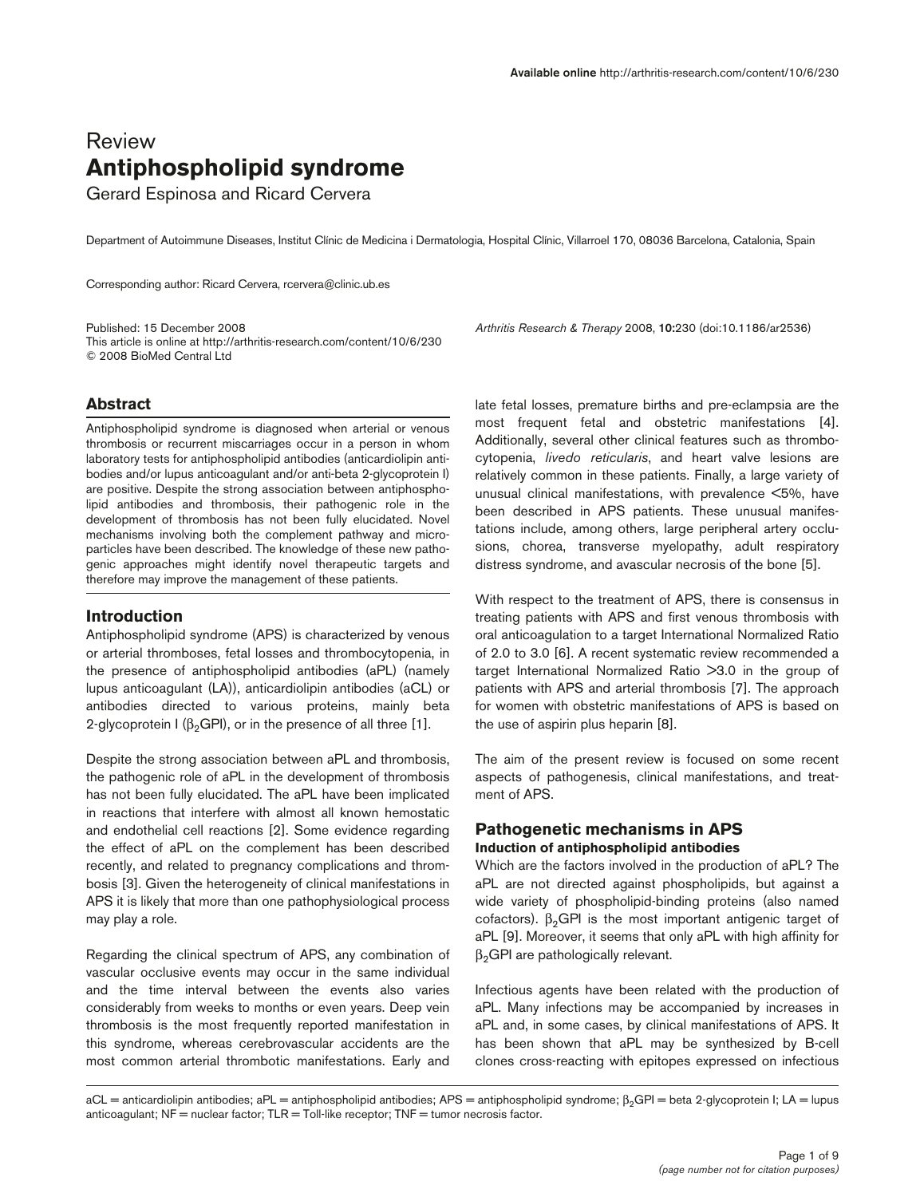# Review **Antiphospholipid syndrome**

Gerard Espinosa and Ricard Cervera

Department of Autoimmune Diseases, Institut Clínic de Medicina i Dermatologia, Hospital Clínic, Villarroel 170, 08036 Barcelona, Catalonia, Spain

Corresponding author: Ricard Cervera, rcervera@clinic.ub.es

Published: 15 December 2008 *Arthritis Research & Therapy* 2008, **10:**230 (doi:10.1186/ar2536) This article is online at http://arthritis-research.com/content/10/6/230 © 2008 BioMed Central Ltd

# **Abstract**

Antiphospholipid syndrome is diagnosed when arterial or venous thrombosis or recurrent miscarriages occur in a person in whom laboratory tests for antiphospholipid antibodies (anticardiolipin antibodies and/or lupus anticoagulant and/or anti-beta 2-glycoprotein I) are positive. Despite the strong association between antiphospholipid antibodies and thrombosis, their pathogenic role in the development of thrombosis has not been fully elucidated. Novel mechanisms involving both the complement pathway and microparticles have been described. The knowledge of these new pathogenic approaches might identify novel therapeutic targets and therefore may improve the management of these patients.

### **Introduction**

Antiphospholipid syndrome (APS) is characterized by venous or arterial thromboses, fetal losses and thrombocytopenia, in the presence of antiphospholipid antibodies (aPL) (namely lupus anticoagulant (LA)), anticardiolipin antibodies (aCL) or antibodies directed to various proteins, mainly beta 2-glycoprotein I ( $\beta_2$ GPI), or in the presence of all three [1].

Despite the strong association between aPL and thrombosis, the pathogenic role of aPL in the development of thrombosis has not been fully elucidated. The aPL have been implicated in reactions that interfere with almost all known hemostatic and endothelial cell reactions [2]. Some evidence regarding the effect of aPL on the complement has been described recently, and related to pregnancy complications and thrombosis [3]. Given the heterogeneity of clinical manifestations in APS it is likely that more than one pathophysiological process may play a role.

Regarding the clinical spectrum of APS, any combination of vascular occlusive events may occur in the same individual and the time interval between the events also varies considerably from weeks to months or even years. Deep vein thrombosis is the most frequently reported manifestation in this syndrome, whereas cerebrovascular accidents are the most common arterial thrombotic manifestations. Early and

late fetal losses, premature births and pre-eclampsia are the most frequent fetal and obstetric manifestations [4]. Additionally, several other clinical features such as thrombocytopenia, *livedo reticularis*, and heart valve lesions are relatively common in these patients. Finally, a large variety of unusual clinical manifestations, with prevalence <5%, have been described in APS patients. These unusual manifestations include, among others, large peripheral artery occlusions, chorea, transverse myelopathy, adult respiratory distress syndrome, and avascular necrosis of the bone [5].

With respect to the treatment of APS, there is consensus in treating patients with APS and first venous thrombosis with oral anticoagulation to a target International Normalized Ratio of 2.0 to 3.0 [6]. A recent systematic review recommended a target International Normalized Ratio >3.0 in the group of patients with APS and arterial thrombosis [7]. The approach for women with obstetric manifestations of APS is based on the use of aspirin plus heparin [8].

The aim of the present review is focused on some recent aspects of pathogenesis, clinical manifestations, and treatment of APS.

# **Pathogenetic mechanisms in APS Induction of antiphospholipid antibodies**

Which are the factors involved in the production of aPL? The aPL are not directed against phospholipids, but against a wide variety of phospholipid-binding proteins (also named cofactors).  $β<sub>2</sub>GPI$  is the most important antigenic target of aPL [9]. Moreover, it seems that only aPL with high affinity for  $β<sub>0</sub>$ GPI are pathologically relevant.

Infectious agents have been related with the production of aPL. Many infections may be accompanied by increases in aPL and, in some cases, by clinical manifestations of APS. It has been shown that aPL may be synthesized by B-cell clones cross-reacting with epitopes expressed on infectious

aCL = anticardiolipin antibodies; aPL = antiphospholipid antibodies; APS = antiphospholipid syndrome; β<sub>2</sub>GPI = beta 2-glycoprotein I; LA = lupus anticoagulant;  $NF =$  nuclear factor;  $TLR =$  Toll-like receptor;  $TNF =$  tumor necrosis factor.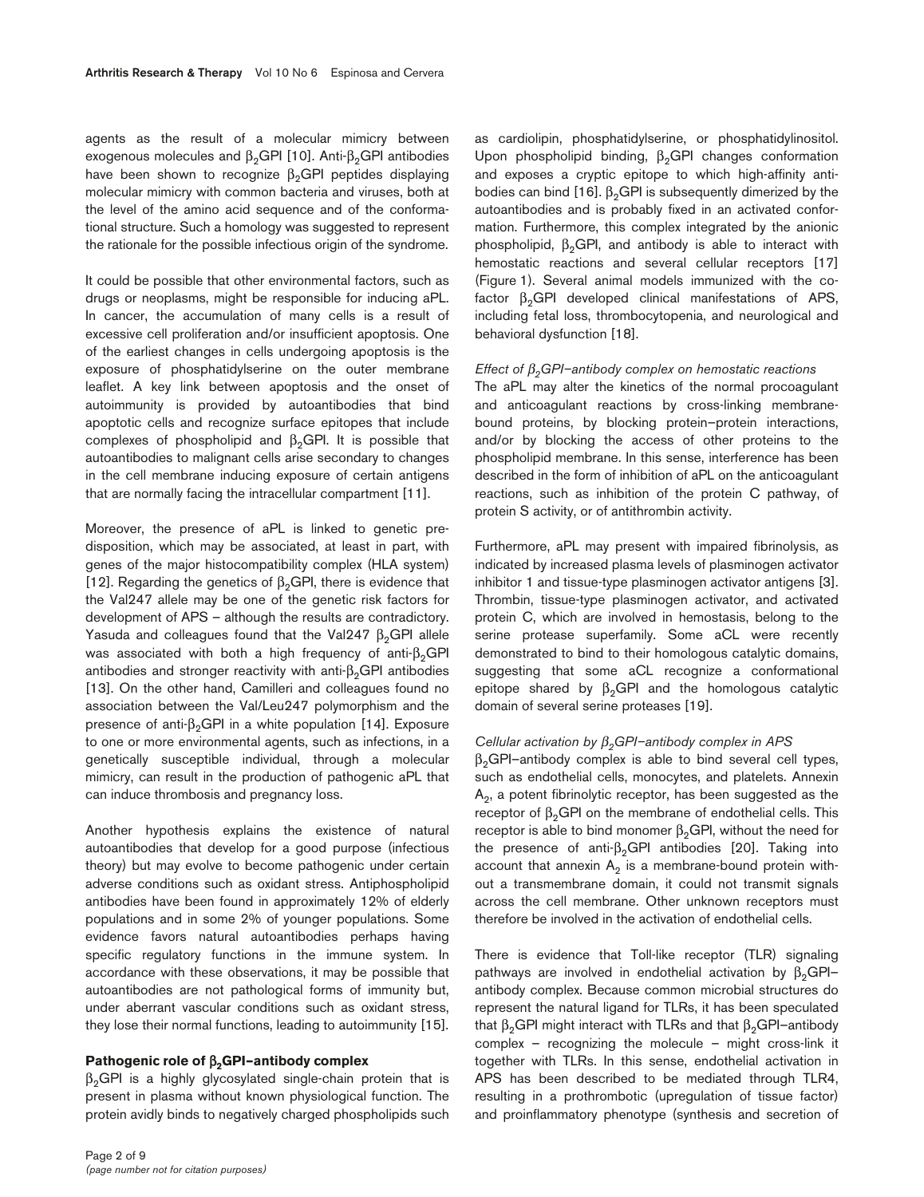agents as the result of a molecular mimicry between exogenous molecules and  $β_0$ GPI [10]. Anti- $β_0$ GPI antibodies have been shown to recognize  $\beta_2$ GPI peptides displaying molecular mimicry with common bacteria and viruses, both at the level of the amino acid sequence and of the conformational structure. Such a homology was suggested to represent the rationale for the possible infectious origin of the syndrome.

It could be possible that other environmental factors, such as drugs or neoplasms, might be responsible for inducing aPL. In cancer, the accumulation of many cells is a result of excessive cell proliferation and/or insufficient apoptosis. One of the earliest changes in cells undergoing apoptosis is the exposure of phosphatidylserine on the outer membrane leaflet. A key link between apoptosis and the onset of autoimmunity is provided by autoantibodies that bind apoptotic cells and recognize surface epitopes that include complexes of phospholipid and  $β_2$ GPI. It is possible that autoantibodies to malignant cells arise secondary to changes in the cell membrane inducing exposure of certain antigens that are normally facing the intracellular compartment [11].

Moreover, the presence of aPL is linked to genetic predisposition, which may be associated, at least in part, with genes of the major histocompatibility complex (HLA system) [12]. Regarding the genetics of  $\beta_2$ GPI, there is evidence that the Val247 allele may be one of the genetic risk factors for development of APS – although the results are contradictory. Yasuda and colleagues found that the Val247  $\beta_2$ GPI allele was associated with both a high frequency of anti- $β_2$ GPI antibodies and stronger reactivity with anti- $\beta_2$ GPI antibodies [13]. On the other hand, Camilleri and colleagues found no association between the Val/Leu247 polymorphism and the presence of anti- $\beta_2$ GPI in a white population [14]. Exposure to one or more environmental agents, such as infections, in a genetically susceptible individual, through a molecular mimicry, can result in the production of pathogenic aPL that can induce thrombosis and pregnancy loss.

Another hypothesis explains the existence of natural autoantibodies that develop for a good purpose (infectious theory) but may evolve to become pathogenic under certain adverse conditions such as oxidant stress. Antiphospholipid antibodies have been found in approximately 12% of elderly populations and in some 2% of younger populations. Some evidence favors natural autoantibodies perhaps having specific regulatory functions in the immune system. In accordance with these observations, it may be possible that autoantibodies are not pathological forms of immunity but, under aberrant vascular conditions such as oxidant stress, they lose their normal functions, leading to autoimmunity [15].

### **Pathogenic role of** β**2GPI–antibody complex**

 $\beta_2$ GPI is a highly glycosylated single-chain protein that is present in plasma without known physiological function. The protein avidly binds to negatively charged phospholipids such as cardiolipin, phosphatidylserine, or phosphatidylinositol. Upon phospholipid binding,  $\beta_2$ GPI changes conformation and exposes a cryptic epitope to which high-affinity antibodies can bind [16].  $\beta_2$ GPI is subsequently dimerized by the autoantibodies and is probably fixed in an activated conformation. Furthermore, this complex integrated by the anionic phospholipid,  $β<sub>2</sub>GPI$ , and antibody is able to interact with hemostatic reactions and several cellular receptors [17] (Figure 1). Several animal models immunized with the cofactor  $β<sub>0</sub>GPI$  developed clinical manifestations of APS, including fetal loss, thrombocytopenia, and neurological and behavioral dysfunction [18].

### *Effect of* β*2GPI–antibody complex on hemostatic reactions*

The aPL may alter the kinetics of the normal procoagulant and anticoagulant reactions by cross-linking membranebound proteins, by blocking protein–protein interactions, and/or by blocking the access of other proteins to the phospholipid membrane. In this sense, interference has been described in the form of inhibition of aPL on the anticoagulant reactions, such as inhibition of the protein C pathway, of protein S activity, or of antithrombin activity.

Furthermore, aPL may present with impaired fibrinolysis, as indicated by increased plasma levels of plasminogen activator inhibitor 1 and tissue-type plasminogen activator antigens [3]. Thrombin, tissue-type plasminogen activator, and activated protein C, which are involved in hemostasis, belong to the serine protease superfamily. Some aCL were recently demonstrated to bind to their homologous catalytic domains, suggesting that some aCL recognize a conformational epitope shared by  $\beta_2$ GPI and the homologous catalytic domain of several serine proteases [19].

### *Cellular activation by* β*2GPI–antibody complex in APS*

 $\beta_2$ GPI–antibody complex is able to bind several cell types, such as endothelial cells, monocytes, and platelets. Annexin  $A<sub>2</sub>$ , a potent fibrinolytic receptor, has been suggested as the receptor of  $β_2$ GPI on the membrane of endothelial cells. This receptor is able to bind monomer  $β_2$ GPI, without the need for the presence of anti- $β<sub>2</sub>$ GPI antibodies [20]. Taking into account that annexin  $A_2$  is a membrane-bound protein without a transmembrane domain, it could not transmit signals across the cell membrane. Other unknown receptors must therefore be involved in the activation of endothelial cells.

There is evidence that Toll-like receptor (TLR) signaling pathways are involved in endothelial activation by  $\beta_2$ GPIantibody complex. Because common microbial structures do represent the natural ligand for TLRs, it has been speculated that β<sub>2</sub>GPI might interact with TLRs and that  $β_2$ GPI–antibody complex – recognizing the molecule – might cross-link it together with TLRs. In this sense, endothelial activation in APS has been described to be mediated through TLR4, resulting in a prothrombotic (upregulation of tissue factor) and proinflammatory phenotype (synthesis and secretion of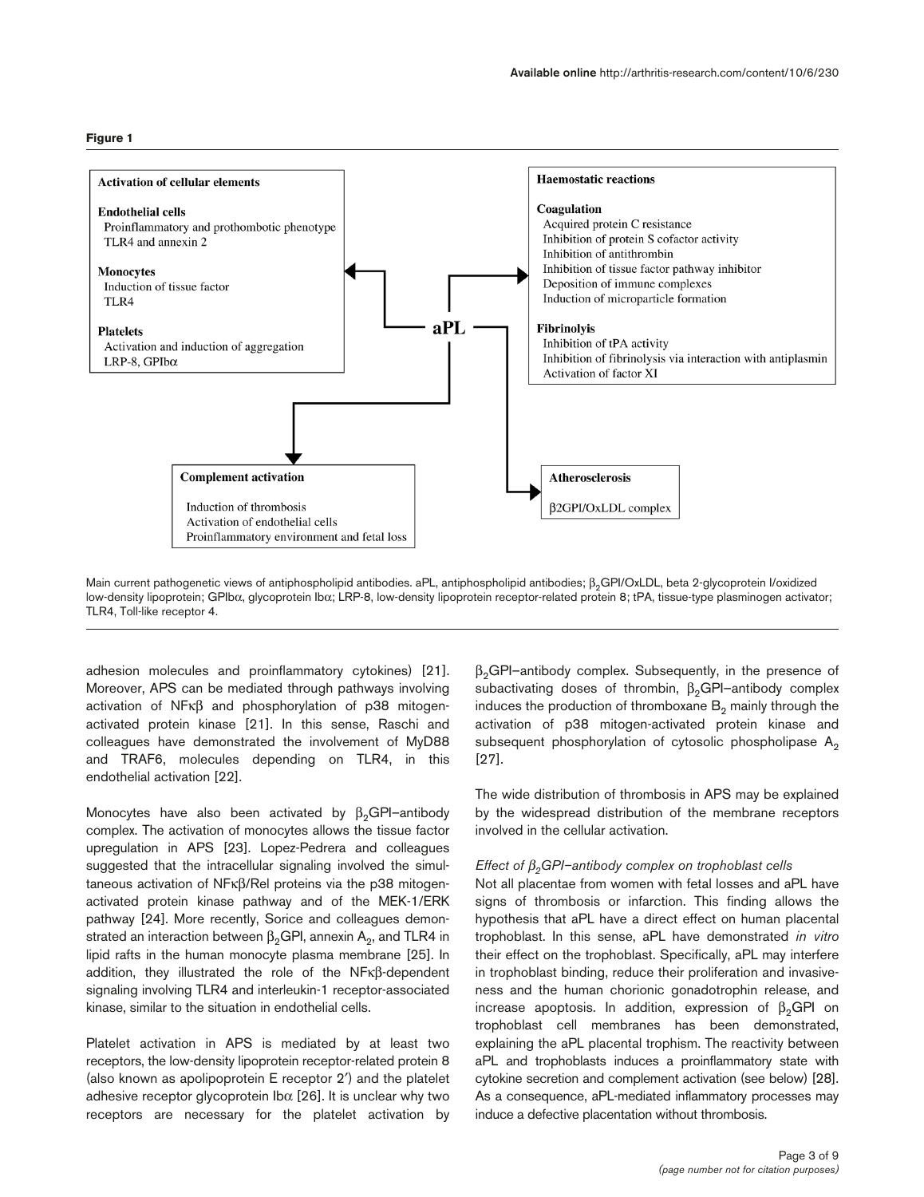



Main current pathogenetic views of antiphospholipid antibodies. aPL, antiphospholipid antibodies; β<sub>2</sub>GPI/OxLDL, beta 2-glycoprotein I/oxidized low-density lipoprotein; GPIbα, glycoprotein Ibα; LRP-8, low-density lipoprotein receptor-related protein 8; tPA, tissue-type plasminogen activator; TLR4, Toll-like receptor 4.

adhesion molecules and proinflammatory cytokines) [21]. Moreover, APS can be mediated through pathways involving activation of NFκβ and phosphorylation of p38 mitogenactivated protein kinase [21]. In this sense, Raschi and colleagues have demonstrated the involvement of MyD88 and TRAF6, molecules depending on TLR4, in this endothelial activation [22].

Monocytes have also been activated by  $\beta_2$ GPI–antibody complex. The activation of monocytes allows the tissue factor upregulation in APS [23]. Lopez-Pedrera and colleagues suggested that the intracellular signaling involved the simultaneous activation of NFκβ/Rel proteins via the p38 mitogenactivated protein kinase pathway and of the MEK-1/ERK pathway [24]. More recently, Sorice and colleagues demonstrated an interaction between  $\beta_2$ GPI, annexin A<sub>2</sub>, and TLR4 in lipid rafts in the human monocyte plasma membrane [25]. In addition, they illustrated the role of the NFκβ-dependent signaling involving TLR4 and interleukin-1 receptor-associated kinase, similar to the situation in endothelial cells.

Platelet activation in APS is mediated by at least two receptors, the low-density lipoprotein receptor-related protein 8 (also known as apolipoprotein E receptor 2′) and the platelet adhesive receptor glycoprotein  $\log$  [26]. It is unclear why two receptors are necessary for the platelet activation by  $\beta_2$ GPI–antibody complex. Subsequently, in the presence of subactivating doses of thrombin,  $\beta_2$ GPI-antibody complex induces the production of thromboxane  $B_2$  mainly through the activation of p38 mitogen-activated protein kinase and subsequent phosphorylation of cytosolic phospholipase  $A_2$ [27].

The wide distribution of thrombosis in APS may be explained by the widespread distribution of the membrane receptors involved in the cellular activation.

### *Effect of* β*2GPI–antibody complex on trophoblast cells*

Not all placentae from women with fetal losses and aPL have signs of thrombosis or infarction. This finding allows the hypothesis that aPL have a direct effect on human placental trophoblast. In this sense, aPL have demonstrated *in vitro* their effect on the trophoblast. Specifically, aPL may interfere in trophoblast binding, reduce their proliferation and invasiveness and the human chorionic gonadotrophin release, and increase apoptosis. In addition, expression of  $\beta_2$ GPI on trophoblast cell membranes has been demonstrated, explaining the aPL placental trophism. The reactivity between aPL and trophoblasts induces a proinflammatory state with cytokine secretion and complement activation (see below) [28]. As a consequence, aPL-mediated inflammatory processes may induce a defective placentation without thrombosis.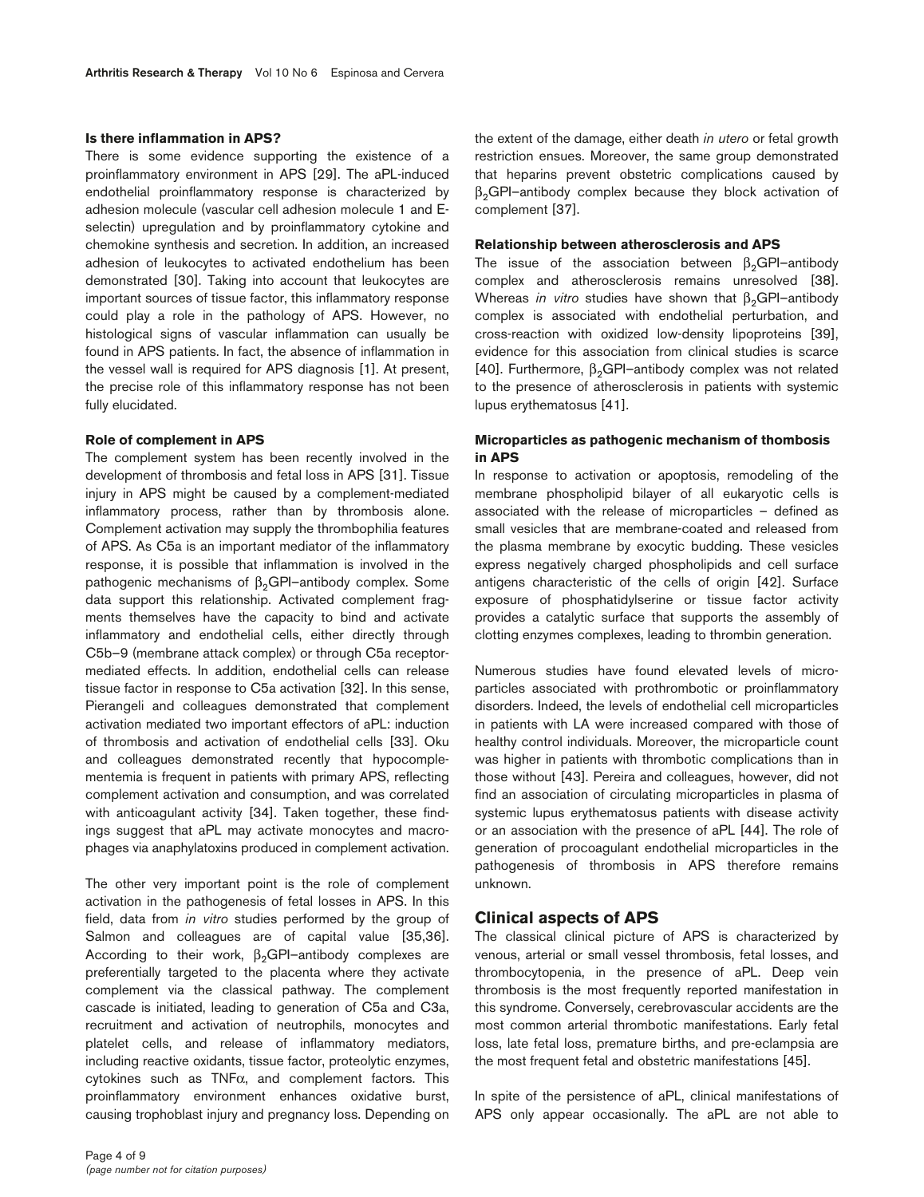### **Is there inflammation in APS?**

There is some evidence supporting the existence of a proinflammatory environment in APS [29]. The aPL-induced endothelial proinflammatory response is characterized by adhesion molecule (vascular cell adhesion molecule 1 and Eselectin) upregulation and by proinflammatory cytokine and chemokine synthesis and secretion. In addition, an increased adhesion of leukocytes to activated endothelium has been demonstrated [30]. Taking into account that leukocytes are important sources of tissue factor, this inflammatory response could play a role in the pathology of APS. However, no histological signs of vascular inflammation can usually be found in APS patients. In fact, the absence of inflammation in the vessel wall is required for APS diagnosis [1]. At present, the precise role of this inflammatory response has not been fully elucidated.

### **Role of complement in APS**

The complement system has been recently involved in the development of thrombosis and fetal loss in APS [31]. Tissue injury in APS might be caused by a complement-mediated inflammatory process, rather than by thrombosis alone. Complement activation may supply the thrombophilia features of APS. As C5a is an important mediator of the inflammatory response, it is possible that inflammation is involved in the pathogenic mechanisms of  $\beta_2$ GPI-antibody complex. Some data support this relationship. Activated complement fragments themselves have the capacity to bind and activate inflammatory and endothelial cells, either directly through C5b–9 (membrane attack complex) or through C5a receptormediated effects. In addition, endothelial cells can release tissue factor in response to C5a activation [32]. In this sense, Pierangeli and colleagues demonstrated that complement activation mediated two important effectors of aPL: induction of thrombosis and activation of endothelial cells [33]. Oku and colleagues demonstrated recently that hypocomplementemia is frequent in patients with primary APS, reflecting complement activation and consumption, and was correlated with anticoagulant activity [34]. Taken together, these findings suggest that aPL may activate monocytes and macrophages via anaphylatoxins produced in complement activation.

The other very important point is the role of complement activation in the pathogenesis of fetal losses in APS. In this field, data from *in vitro* studies performed by the group of Salmon and colleagues are of capital value [35,36]. According to their work,  $\beta_2$ GPI–antibody complexes are preferentially targeted to the placenta where they activate complement via the classical pathway. The complement cascade is initiated, leading to generation of C5a and C3a, recruitment and activation of neutrophils, monocytes and platelet cells, and release of inflammatory mediators, including reactive oxidants, tissue factor, proteolytic enzymes, cytokines such as  $TNF\alpha$ , and complement factors. This proinflammatory environment enhances oxidative burst, causing trophoblast injury and pregnancy loss. Depending on

the extent of the damage, either death *in utero* or fetal growth restriction ensues. Moreover, the same group demonstrated that heparins prevent obstetric complications caused by β2GPI–antibody complex because they block activation of complement [37].

#### **Relationship between atherosclerosis and APS**

The issue of the association between  $\beta_2$ GPI–antibody complex and atherosclerosis remains unresolved [38]. Whereas *in vitro* studies have shown that β<sub>2</sub>GPI-antibody complex is associated with endothelial perturbation, and cross-reaction with oxidized low-density lipoproteins [39], evidence for this association from clinical studies is scarce [40]. Furthermore, β<sub>2</sub>GPI-antibody complex was not related to the presence of atherosclerosis in patients with systemic lupus erythematosus [41].

### **Microparticles as pathogenic mechanism of thombosis in APS**

In response to activation or apoptosis, remodeling of the membrane phospholipid bilayer of all eukaryotic cells is associated with the release of microparticles – defined as small vesicles that are membrane-coated and released from the plasma membrane by exocytic budding. These vesicles express negatively charged phospholipids and cell surface antigens characteristic of the cells of origin [42]. Surface exposure of phosphatidylserine or tissue factor activity provides a catalytic surface that supports the assembly of clotting enzymes complexes, leading to thrombin generation.

Numerous studies have found elevated levels of microparticles associated with prothrombotic or proinflammatory disorders. Indeed, the levels of endothelial cell microparticles in patients with LA were increased compared with those of healthy control individuals. Moreover, the microparticle count was higher in patients with thrombotic complications than in those without [43]. Pereira and colleagues, however, did not find an association of circulating microparticles in plasma of systemic lupus erythematosus patients with disease activity or an association with the presence of aPL [44]. The role of generation of procoagulant endothelial microparticles in the pathogenesis of thrombosis in APS therefore remains unknown.

### **Clinical aspects of APS**

The classical clinical picture of APS is characterized by venous, arterial or small vessel thrombosis, fetal losses, and thrombocytopenia, in the presence of aPL. Deep vein thrombosis is the most frequently reported manifestation in this syndrome. Conversely, cerebrovascular accidents are the most common arterial thrombotic manifestations. Early fetal loss, late fetal loss, premature births, and pre-eclampsia are the most frequent fetal and obstetric manifestations [45].

In spite of the persistence of aPL, clinical manifestations of APS only appear occasionally. The aPL are not able to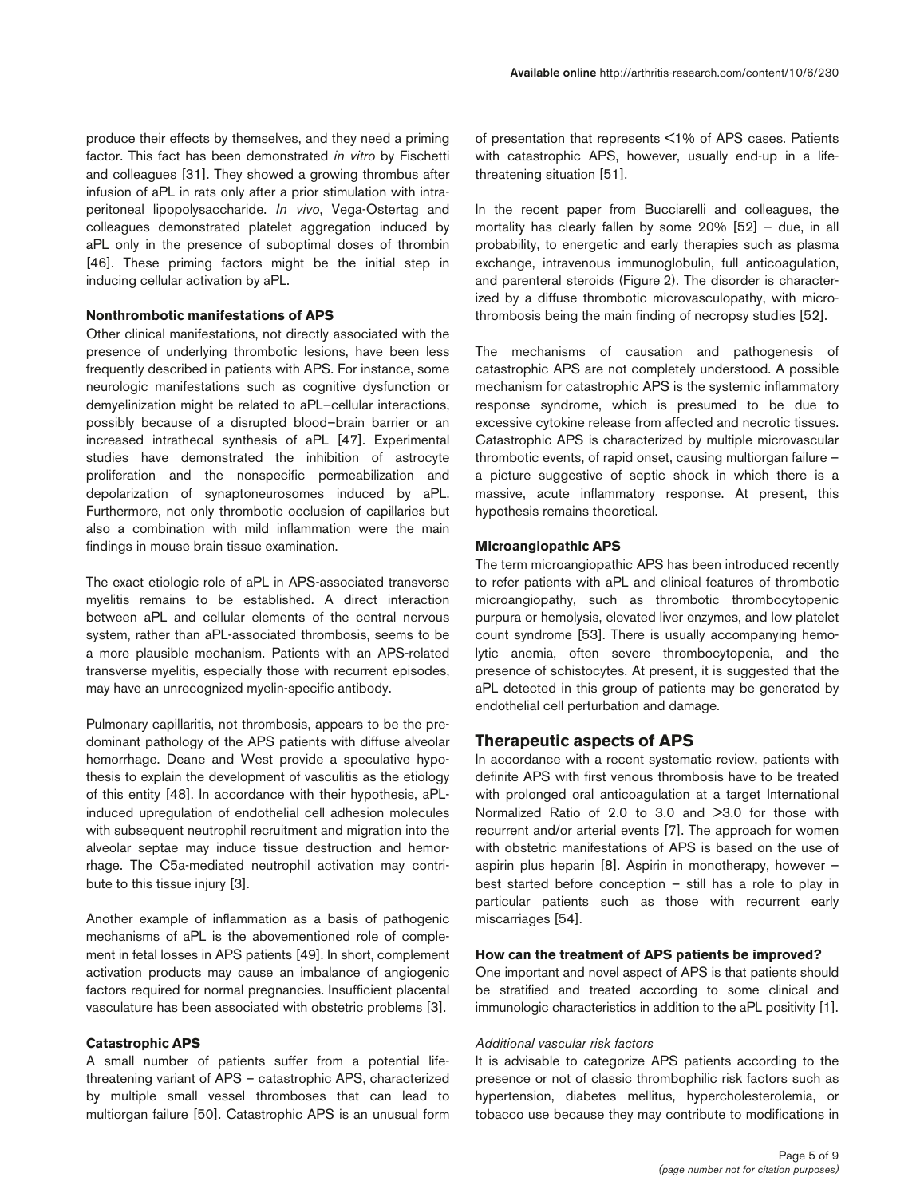produce their effects by themselves, and they need a priming factor. This fact has been demonstrated *in vitro* by Fischetti and colleagues [31]. They showed a growing thrombus after infusion of aPL in rats only after a prior stimulation with intraperitoneal lipopolysaccharide. *In vivo*, Vega-Ostertag and colleagues demonstrated platelet aggregation induced by aPL only in the presence of suboptimal doses of thrombin [46]. These priming factors might be the initial step in inducing cellular activation by aPL.

# **Nonthrombotic manifestations of APS**

Other clinical manifestations, not directly associated with the presence of underlying thrombotic lesions, have been less frequently described in patients with APS. For instance, some neurologic manifestations such as cognitive dysfunction or demyelinization might be related to aPL–cellular interactions, possibly because of a disrupted blood–brain barrier or an increased intrathecal synthesis of aPL [47]. Experimental studies have demonstrated the inhibition of astrocyte proliferation and the nonspecific permeabilization and depolarization of synaptoneurosomes induced by aPL. Furthermore, not only thrombotic occlusion of capillaries but also a combination with mild inflammation were the main findings in mouse brain tissue examination.

The exact etiologic role of aPL in APS-associated transverse myelitis remains to be established. A direct interaction between aPL and cellular elements of the central nervous system, rather than aPL-associated thrombosis, seems to be a more plausible mechanism. Patients with an APS-related transverse myelitis, especially those with recurrent episodes, may have an unrecognized myelin-specific antibody.

Pulmonary capillaritis, not thrombosis, appears to be the predominant pathology of the APS patients with diffuse alveolar hemorrhage. Deane and West provide a speculative hypothesis to explain the development of vasculitis as the etiology of this entity [48]. In accordance with their hypothesis, aPLinduced upregulation of endothelial cell adhesion molecules with subsequent neutrophil recruitment and migration into the alveolar septae may induce tissue destruction and hemorrhage. The C5a-mediated neutrophil activation may contribute to this tissue injury [3].

Another example of inflammation as a basis of pathogenic mechanisms of aPL is the abovementioned role of complement in fetal losses in APS patients [49]. In short, complement activation products may cause an imbalance of angiogenic factors required for normal pregnancies. Insufficient placental vasculature has been associated with obstetric problems [3].

## **Catastrophic APS**

A small number of patients suffer from a potential lifethreatening variant of APS – catastrophic APS, characterized by multiple small vessel thromboses that can lead to multiorgan failure [50]. Catastrophic APS is an unusual form

of presentation that represents <1% of APS cases. Patients with catastrophic APS, however, usually end-up in a lifethreatening situation [51].

In the recent paper from Bucciarelli and colleagues, the mortality has clearly fallen by some 20% [52] – due, in all probability, to energetic and early therapies such as plasma exchange, intravenous immunoglobulin, full anticoagulation, and parenteral steroids (Figure 2). The disorder is characterized by a diffuse thrombotic microvasculopathy, with microthrombosis being the main finding of necropsy studies [52].

The mechanisms of causation and pathogenesis of catastrophic APS are not completely understood. A possible mechanism for catastrophic APS is the systemic inflammatory response syndrome, which is presumed to be due to excessive cytokine release from affected and necrotic tissues. Catastrophic APS is characterized by multiple microvascular thrombotic events, of rapid onset, causing multiorgan failure – a picture suggestive of septic shock in which there is a massive, acute inflammatory response. At present, this hypothesis remains theoretical.

### **Microangiopathic APS**

The term microangiopathic APS has been introduced recently to refer patients with aPL and clinical features of thrombotic microangiopathy, such as thrombotic thrombocytopenic purpura or hemolysis, elevated liver enzymes, and low platelet count syndrome [53]. There is usually accompanying hemolytic anemia, often severe thrombocytopenia, and the presence of schistocytes. At present, it is suggested that the aPL detected in this group of patients may be generated by endothelial cell perturbation and damage.

### **Therapeutic aspects of APS**

In accordance with a recent systematic review, patients with definite APS with first venous thrombosis have to be treated with prolonged oral anticoagulation at a target International Normalized Ratio of 2.0 to 3.0 and >3.0 for those with recurrent and/or arterial events [7]. The approach for women with obstetric manifestations of APS is based on the use of aspirin plus heparin [8]. Aspirin in monotherapy, however – best started before conception – still has a role to play in particular patients such as those with recurrent early miscarriages [54].

#### **How can the treatment of APS patients be improved?**

One important and novel aspect of APS is that patients should be stratified and treated according to some clinical and immunologic characteristics in addition to the aPL positivity [1].

### *Additional vascular risk factors*

It is advisable to categorize APS patients according to the presence or not of classic thrombophilic risk factors such as hypertension, diabetes mellitus, hypercholesterolemia, or tobacco use because they may contribute to modifications in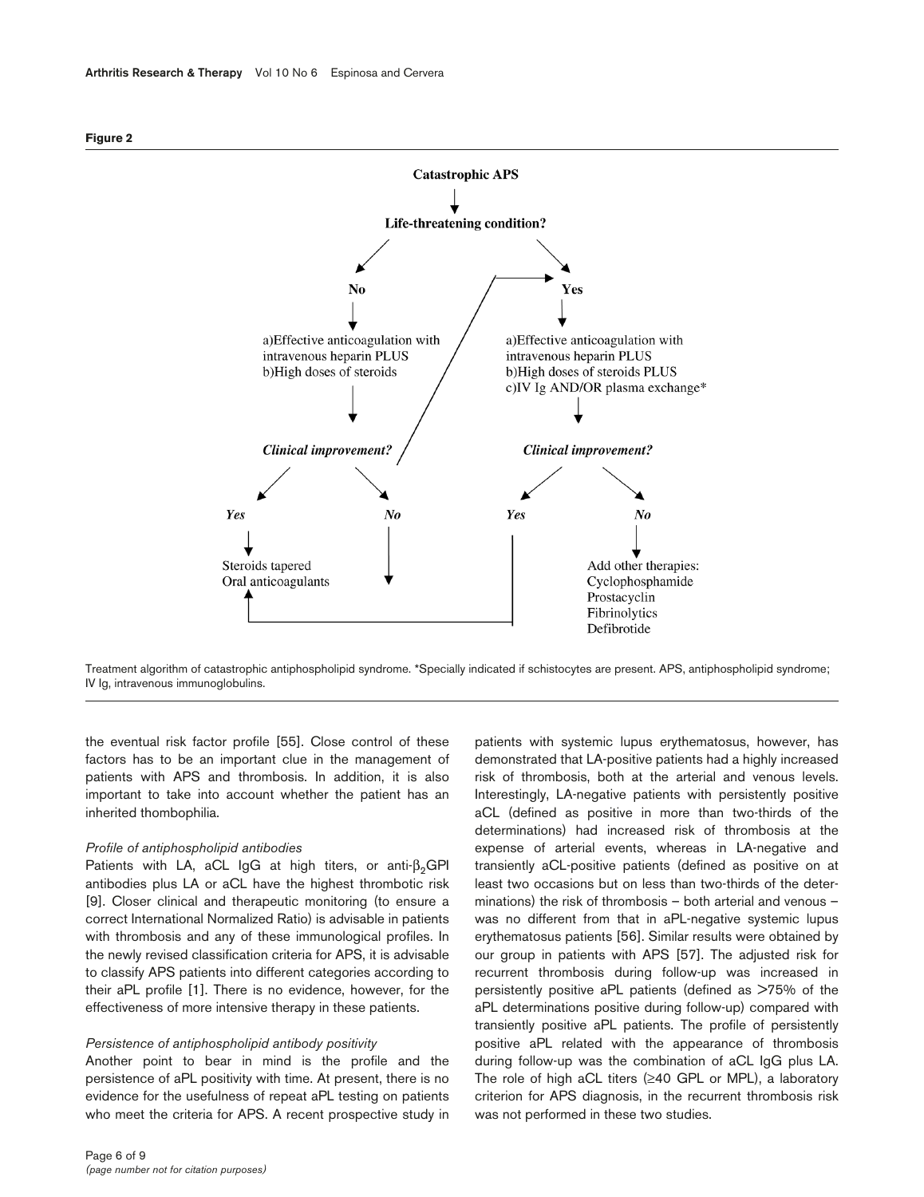



Treatment algorithm of catastrophic antiphospholipid syndrome. \*Specially indicated if schistocytes are present. APS, antiphospholipid syndrome; IV Ig, intravenous immunoglobulins.

the eventual risk factor profile [55]. Close control of these factors has to be an important clue in the management of patients with APS and thrombosis. In addition, it is also important to take into account whether the patient has an inherited thombophilia.

### *Profile of antiphospholipid antibodies*

Patients with LA, aCL IgG at high titers, or anti- $\beta_2$ GPI antibodies plus LA or aCL have the highest thrombotic risk [9]. Closer clinical and therapeutic monitoring (to ensure a correct International Normalized Ratio) is advisable in patients with thrombosis and any of these immunological profiles. In the newly revised classification criteria for APS, it is advisable to classify APS patients into different categories according to their aPL profile [1]. There is no evidence, however, for the effectiveness of more intensive therapy in these patients.

### *Persistence of antiphospholipid antibody positivity*

Another point to bear in mind is the profile and the persistence of aPL positivity with time. At present, there is no evidence for the usefulness of repeat aPL testing on patients who meet the criteria for APS. A recent prospective study in

patients with systemic lupus erythematosus, however, has demonstrated that LA-positive patients had a highly increased risk of thrombosis, both at the arterial and venous levels. Interestingly, LA-negative patients with persistently positive aCL (defined as positive in more than two-thirds of the determinations) had increased risk of thrombosis at the expense of arterial events, whereas in LA-negative and transiently aCL-positive patients (defined as positive on at least two occasions but on less than two-thirds of the determinations) the risk of thrombosis – both arterial and venous – was no different from that in aPL-negative systemic lupus erythematosus patients [56]. Similar results were obtained by our group in patients with APS [57]. The adjusted risk for recurrent thrombosis during follow-up was increased in persistently positive aPL patients (defined as >75% of the aPL determinations positive during follow-up) compared with transiently positive aPL patients. The profile of persistently positive aPL related with the appearance of thrombosis during follow-up was the combination of aCL IgG plus LA. The role of high aCL titers (≥40 GPL or MPL), a laboratory criterion for APS diagnosis, in the recurrent thrombosis risk was not performed in these two studies.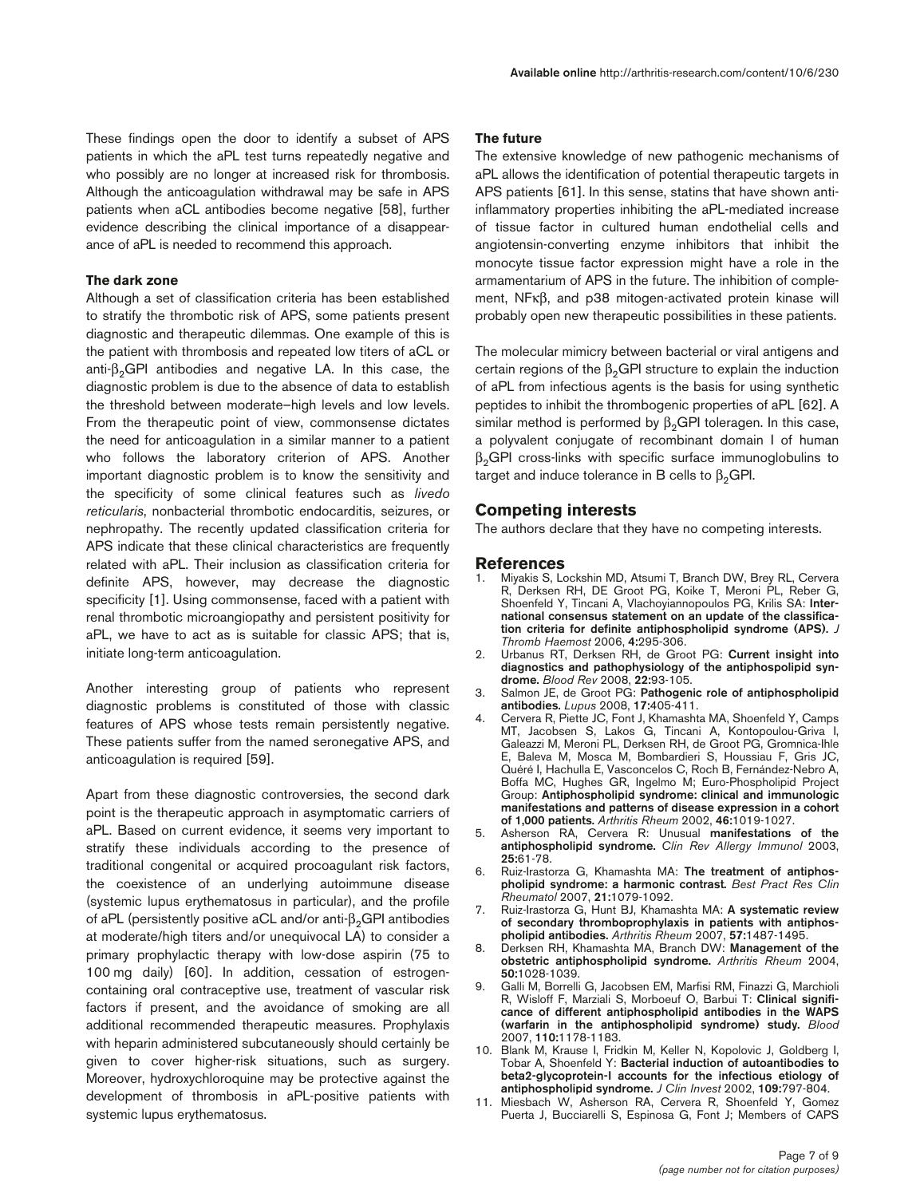These findings open the door to identify a subset of APS patients in which the aPL test turns repeatedly negative and who possibly are no longer at increased risk for thrombosis. Although the anticoagulation withdrawal may be safe in APS patients when aCL antibodies become negative [58], further evidence describing the clinical importance of a disappearance of aPL is needed to recommend this approach.

### **The dark zone**

Although a set of classification criteria has been established to stratify the thrombotic risk of APS, some patients present diagnostic and therapeutic dilemmas. One example of this is the patient with thrombosis and repeated low titers of aCL or anti-β<sub>2</sub>GPI antibodies and negative LA. In this case, the diagnostic problem is due to the absence of data to establish the threshold between moderate–high levels and low levels. From the therapeutic point of view, commonsense dictates the need for anticoagulation in a similar manner to a patient who follows the laboratory criterion of APS. Another important diagnostic problem is to know the sensitivity and the specificity of some clinical features such as *livedo reticularis*, nonbacterial thrombotic endocarditis, seizures, or nephropathy. The recently updated classification criteria for APS indicate that these clinical characteristics are frequently related with aPL. Their inclusion as classification criteria for definite APS, however, may decrease the diagnostic specificity [1]. Using commonsense, faced with a patient with renal thrombotic microangiopathy and persistent positivity for aPL, we have to act as is suitable for classic APS; that is, initiate long-term anticoagulation.

Another interesting group of patients who represent diagnostic problems is constituted of those with classic features of APS whose tests remain persistently negative. These patients suffer from the named seronegative APS, and anticoagulation is required [59].

Apart from these diagnostic controversies, the second dark point is the therapeutic approach in asymptomatic carriers of aPL. Based on current evidence, it seems very important to stratify these individuals according to the presence of traditional congenital or acquired procoagulant risk factors, the coexistence of an underlying autoimmune disease (systemic lupus erythematosus in particular), and the profile of aPL (persistently positive aCL and/or anti- $\beta_2$ GPI antibodies at moderate/high titers and/or unequivocal LA) to consider a primary prophylactic therapy with low-dose aspirin (75 to 100 mg daily) [60]. In addition, cessation of estrogencontaining oral contraceptive use, treatment of vascular risk factors if present, and the avoidance of smoking are all additional recommended therapeutic measures. Prophylaxis with heparin administered subcutaneously should certainly be given to cover higher-risk situations, such as surgery. Moreover, hydroxychloroquine may be protective against the development of thrombosis in aPL-positive patients with systemic lupus erythematosus.

#### **The future**

The extensive knowledge of new pathogenic mechanisms of aPL allows the identification of potential therapeutic targets in APS patients [61]. In this sense, statins that have shown antiinflammatory properties inhibiting the aPL-mediated increase of tissue factor in cultured human endothelial cells and angiotensin-converting enzyme inhibitors that inhibit the monocyte tissue factor expression might have a role in the armamentarium of APS in the future. The inhibition of complement, NFκβ, and p38 mitogen-activated protein kinase will probably open new therapeutic possibilities in these patients.

The molecular mimicry between bacterial or viral antigens and certain regions of the  $\beta_2$ GPI structure to explain the induction of aPL from infectious agents is the basis for using synthetic peptides to inhibit the thrombogenic properties of aPL [62]. A similar method is performed by  $\beta_2$ GPI toleragen. In this case, a polyvalent conjugate of recombinant domain I of human  $\beta_2$ GPI cross-links with specific surface immunoglobulins to target and induce tolerance in B cells to  $β_2$ GPI.

### **Competing interests**

The authors declare that they have no competing interests.

### **References**

- 1. Miyakis S, Lockshin MD, Atsumi T, Branch DW, Brey RL, Cervera R, Derksen RH, DE Groot PG, Koike T, Meroni PL, Reber G, Shoenfeld Y, Tincani A, Vlachoyiannopoulos PG, Krilis SA: **International consensus statement on an update of the classification criteria for definite antiphospholipid syndrome (APS).** *J Thromb Haemost* 2006, **4:**295-306.
- 2. Urbanus RT, Derksen RH, de Groot PG: **Current insight into diagnostics and pathophysiology of the antiphospolipid syndrome.** *Blood Rev* 2008, **22:**93-105.
- 3. Salmon JE, de Groot PG: **Pathogenic role of antiphospholipid antibodies.** *Lupus* 2008, **17:**405-411.
- 4. Cervera R, Piette JC, Font J, Khamashta MA, Shoenfeld Y, Camps MT, Jacobsen S, Lakos G, Tincani A, Kontopoulou-Griva I, Galeazzi M, Meroni PL, Derksen RH, de Groot PG, Gromnica-Ihle E, Baleva M, Mosca M, Bombardieri S, Houssiau F, Gris JC, Quéré I, Hachulla E, Vasconcelos C, Roch B, Fernández-Nebro A, Boffa MC, Hughes GR, Ingelmo M; Euro-Phospholipid Project Group: **Antiphospholipid syndrome: clinical and immunologic manifestations and patterns of disease expression in a cohort of 1,000 patients.** *Arthritis Rheum* 2002, **46:**1019-1027.
- 5. Asherson RA, Cervera R: Unusual **manifestations of the antiphospholipid syndrome.** *Clin Rev Allergy Immunol* 2003, **25:**61-78.
- 6. Ruiz-Irastorza G, Khamashta MA: **The treatment of antiphospholipid syndrome: a harmonic contrast.** *Best Pract Res Clin Rheumatol* 2007, **21:**1079-1092.
- 7. Ruiz-Irastorza G, Hunt BJ, Khamashta MA: **A systematic review of secondary thromboprophylaxis in patients with antiphospholipid antibodies.** *Arthritis Rheum* 2007, **57:**1487-1495.
- 8. Derksen RH, Khamashta MA, Branch DW: **Management of the obstetric antiphospholipid syndrome.** *Arthritis Rheum* 2004, **50:**1028-1039.
- 9. Galli M, Borrelli G, Jacobsen EM, Marfisi RM, Finazzi G, Marchioli R, Wisloff F, Marziali S, Morboeuf O, Barbui T: **Clinical significance of different antiphospholipid antibodies in the WAPS (warfarin in the antiphospholipid syndrome) study.** *Blood* 2007, **110:**1178-1183.
- 10. Blank M, Krause I, Fridkin M, Keller N, Kopolovic J, Goldberg I, Tobar A, Shoenfeld Y: **Bacterial induction of autoantibodies to beta2-glycoprotein-I accounts for the infectious etiology of antiphospholipid syndrome.** *J Clin Invest* 2002, **109:**797-804.
- 11. Miesbach W, Asherson RA, Cervera R, Shoenfeld Y, Gomez Puerta J, Bucciarelli S, Espinosa G, Font J; Members of CAPS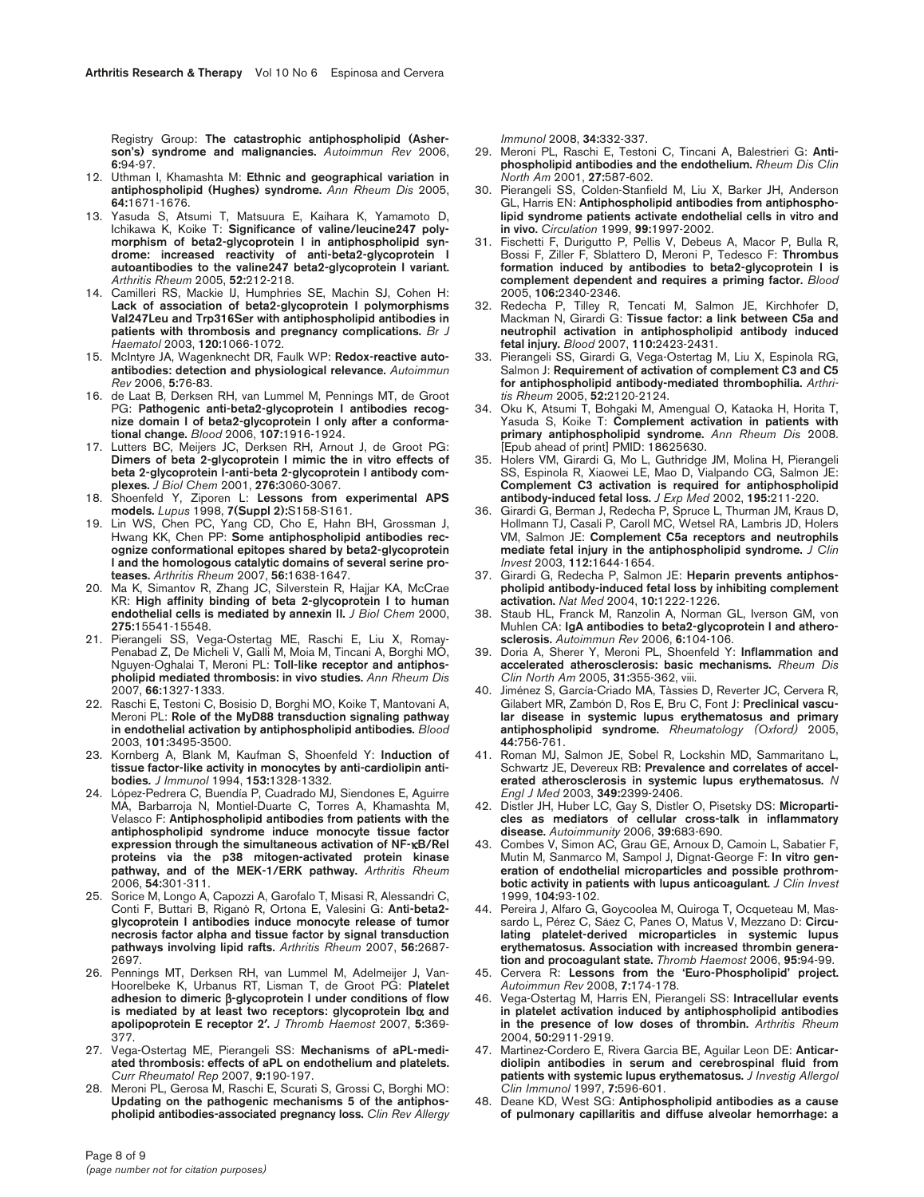Registry Group: **The catastrophic antiphospholipid (Asherson's) syndrome and malignancies.** *Autoimmun Rev* 2006, **6:**94-97.

- 12. Uthman I, Khamashta M: **Ethnic and geographical variation in antiphospholipid (Hughes) syndrome.** *Ann Rheum Dis* 2005, **64:**1671-1676.
- 13. Yasuda S, Atsumi T, Matsuura E, Kaihara K, Yamamoto D, Ichikawa K, Koike T: **Significance of valine/leucine247 polymorphism of beta2-glycoprotein I in antiphospholipid syndrome: increased reactivity of anti-beta2-glycoprotein I autoantibodies to the valine247 beta2-glycoprotein I variant.** *Arthritis Rheum* 2005, **52:**212-218.
- 14. Camilleri RS, Mackie IJ, Humphries SE, Machin SJ, Cohen H: **Lack of association of beta2-glycoprotein I polymorphisms Val247Leu and Trp316Ser with antiphospholipid antibodies in patients with thrombosis and pregnancy complications.** *Br J Haematol* 2003, **120:**1066-1072.
- 15. McIntyre JA, Wagenknecht DR, Faulk WP: **Redox-reactive autoantibodies: detection and physiological relevance.** *Autoimmun Rev* 2006, **5:**76-83.
- 16. de Laat B, Derksen RH, van Lummel M, Pennings MT, de Groot PG: **Pathogenic anti-beta2-glycoprotein I antibodies recognize domain I of beta2-glycoprotein I only after a conformational change.** *Blood* 2006, **107:**1916-1924.
- 17. Lutters BC, Meijers JC, Derksen RH, Arnout J, de Groot PG: **Dimers of beta 2-glycoprotein I mimic the in vitro effects of beta 2-glycoprotein I-anti-beta 2-glycoprotein I antibody complexes.** *J Biol Chem* 2001, **276:**3060-3067.
- 18. Shoenfeld Y, Ziporen L: **Lessons from experimental APS models.** *Lupus* 1998, **7(Suppl 2):**S158-S161.
- 19. Lin WS, Chen PC, Yang CD, Cho E, Hahn BH, Grossman J, Hwang KK, Chen PP: **Some antiphospholipid antibodies recognize conformational epitopes shared by beta2-glycoprotein I and the homologous catalytic domains of several serine proteases.** *Arthritis Rheum* 2007, **56:**1638-1647.
- 20. Ma K, Simantov R, Zhang JC, Silverstein R, Hajjar KA, McCrae KR: **High affinity binding of beta 2-glycoprotein I to human endothelial cells is mediated by annexin II.** *J Biol Chem* 2000, **275:**15541-15548.
- 21. Pierangeli SS, Vega-Ostertag ME, Raschi E, Liu X, Romay-Penabad Z, De Micheli V, Galli M, Moia M, Tincani A, Borghi MO, Nguyen-Oghalai T, Meroni PL: **Toll-like receptor and antiphospholipid mediated thrombosis: in vivo studies.** *Ann Rheum Dis* 2007, **66:**1327-1333.
- 22. Raschi E, Testoni C, Bosisio D, Borghi MO, Koike T, Mantovani A, Meroni PL: **Role of the MyD88 transduction signaling pathway in endothelial activation by antiphospholipid antibodies.** *Blood* 2003, **101:**3495-3500.
- 23. Kornberg A, Blank M, Kaufman S, Shoenfeld Y: **Induction of tissue factor-like activity in monocytes by anti-cardiolipin antibodies***. J Immunol* 1994, **153:**1328-1332.
- 24. López-Pedrera C, Buendía P, Cuadrado MJ, Siendones E, Aguirre MA, Barbarroja N, Montiel-Duarte C, Torres A, Khamashta M, Velasco F: **Antiphospholipid antibodies from patients with the antiphospholipid syndrome induce monocyte tissue factor expression through the simultaneous activation of NF-**κ**B/Rel proteins via the p38 mitogen-activated protein kinase pathway, and of the MEK-1/ERK pathway.** *Arthritis Rheum* 2006, **54:**301-311.
- 25. Sorice M, Longo A, Capozzi A, Garofalo T, Misasi R, Alessandri C, Conti F, Buttari B, Riganò R, Ortona E, Valesini G: **Anti-beta2 glycoprotein I antibodies induce monocyte release of tumor necrosis factor alpha and tissue factor by signal transduction pathways involving lipid rafts.** *Arthritis Rheum* 2007, **56:**2687- 2697.
- 26. Pennings MT, Derksen RH, van Lummel M, Adelmeijer J, Van-Hoorelbeke K, Urbanus RT, Lisman T, de Groot PG: **Platelet adhesion to dimeric** β**-glycoprotein I under conditions of flow is mediated by at least two receptors: glycoprotein Ib**α **and apolipoprotein E receptor 2**′**.** *J Thromb Haemost* 2007, **5:**369- 377.
- 27. Vega-Ostertag ME, Pierangeli SS: **Mechanisms of aPL-mediated thrombosis: effects of aPL on endothelium and platelets.** *Curr Rheumatol Rep* 2007, **9:**190-197.
- 28. Meroni PL, Gerosa M, Raschi E, Scurati S, Grossi C, Borghi MO: **Updating on the pathogenic mechanisms 5 of the antiphospholipid antibodies-associated pregnancy loss.** *Clin Rev Allergy*

*Immunol* 2008, **34:**332-337.

- 29. Meroni PL, Raschi E, Testoni C, Tincani A, Balestrieri G: **Antiphospholipid antibodies and the endothelium.** *Rheum Dis Clin North Am* 2001, **27:**587-602.
- 30. Pierangeli SS, Colden-Stanfield M, Liu X, Barker JH, Anderson GL, Harris EN: **Antiphospholipid antibodies from antiphospholipid syndrome patients activate endothelial cells in vitro and in vivo.** *Circulation* 1999, **99:**1997-2002.
- 31. Fischetti F, Durigutto P, Pellis V, Debeus A, Macor P, Bulla R, Bossi F, Ziller F, Sblattero D, Meroni P, Tedesco F: **Thrombus formation induced by antibodies to beta2-glycoprotein I is complement dependent and requires a priming factor.** *Blood* 2005, **106:**2340-2346.
- 32. Redecha P, Tilley R, Tencati M, Salmon JE, Kirchhofer D, Mackman N, Girardi G: **Tissue factor: a link between C5a and neutrophil activation in antiphospholipid antibody induced fetal injury.** *Blood* 2007, **110:**2423-2431.
- 33. Pierangeli SS, Girardi G, Vega-Ostertag M, Liu X, Espinola RG, Salmon J: **Requirement of activation of complement C3 and C5 for antiphospholipid antibody-mediated thrombophilia.** *Arthritis Rheum* 2005, **52:**2120-2124.
- 34. Oku K, Atsumi T, Bohgaki M, Amengual O, Kataoka H, Horita T, Yasuda S, Koike T: **Complement activation in patients with primary antiphospholipid syndrome.** *Ann Rheum Dis* 2008. [Epub ahead of print] PMID: 18625630.
- 35. Holers VM, Girardi G, Mo L, Guthridge JM, Molina H, Pierangeli SS, Espinola R, Xiaowei LE, Mao D, Vialpando CG, Salmon JE: **Complement C3 activation is required for antiphospholipid antibody-induced fetal loss.** *J Exp Med* 2002, **195:**211-220.
- 36. Girardi G, Berman J, Redecha P, Spruce L, Thurman JM, Kraus D, Hollmann TJ, Casali P, Caroll MC, Wetsel RA, Lambris JD, Holers VM, Salmon JE: **Complement C5a receptors and neutrophils mediate fetal injury in the antiphospholipid syndrome.** *J Clin Invest* 2003, **112:**1644-1654.
- 37. Girardi G, Redecha P, Salmon JE: **Heparin prevents antiphospholipid antibody-induced fetal loss by inhibiting complement activation.** *Nat Med* 2004, **10:**1222-1226.
- 38. Staub HL, Franck M, Ranzolin A, Norman GL, Iverson GM, von Muhlen CA: **IgA antibodies to beta2-glycoprotein I and atherosclerosis.** *Autoimmun Rev* 2006, **6:**104-106.
- 39. Doria A, Sherer Y, Meroni PL, Shoenfeld Y: **Inflammation and accelerated atherosclerosis: basic mechanisms.** *Rheum Dis Clin North Am* 2005, **31:**355-362, viii.
- 40. Jiménez S, García-Criado MA, Tàssies D, Reverter JC, Cervera R, Gilabert MR, Zambón D, Ros E, Bru C, Font J: **Preclinical vascular disease in systemic lupus erythematosus and primary antiphospholipid syndrome.** *Rheumatology (Oxford)* 2005, **44:**756-761.
- 41. Roman MJ, Salmon JE, Sobel R, Lockshin MD, Sammaritano L, Schwartz JE, Devereux RB: **Prevalence and correlates of accelerated atherosclerosis in systemic lupus erythematosus.** *N Engl J Med* 2003, **349:**2399-2406.
- 42. Distler JH, Huber LC, Gay S, Distler O, Pisetsky DS: **Microparticles as mediators of cellular cross-talk in inflammatory disease.** *Autoimmunity* 2006, **39:**683-690.
- 43. Combes V, Simon AC, Grau GE, Arnoux D, Camoin L, Sabatier F, Mutin M, Sanmarco M, Sampol J, Dignat-George F: **In vitro generation of endothelial microparticles and possible prothrombotic activity in patients with lupus anticoagulant.** *J Clin Invest* 1999, **104:**93-102.
- 44. Pereira J, Alfaro G, Goycoolea M, Quiroga T, Ocqueteau M, Massardo L, Pérez C, Sáez C, Panes O, Matus V, Mezzano D: **Circulating platelet-derived microparticles in systemic lupus erythematosus. Association with increased thrombin generation and procoagulant state.** *Thromb Haemost* 2006, **95:**94-99.
- 45. Cervera R: **Lessons from the 'Euro-Phospholipid' project.** *Autoimmun Rev* 2008, **7:**174-178.
- 46. Vega-Ostertag M, Harris EN, Pierangeli SS: **Intracellular events in platelet activation induced by antiphospholipid antibodies in the presence of low doses of thrombin.** *Arthritis Rheum* 2004, **50:**2911-2919.
- 47. Martinez-Cordero E, Rivera Garcia BE, Aguilar Leon DE: **Anticardiolipin antibodies in serum and cerebrospinal fluid from patients with systemic lupus erythematosus.** *J Investig Allergol Clin Immunol* 1997, **7:**596-601.
- 48. Deane KD, West SG: **Antiphospholipid antibodies as a cause of pulmonary capillaritis and diffuse alveolar hemorrhage: a**